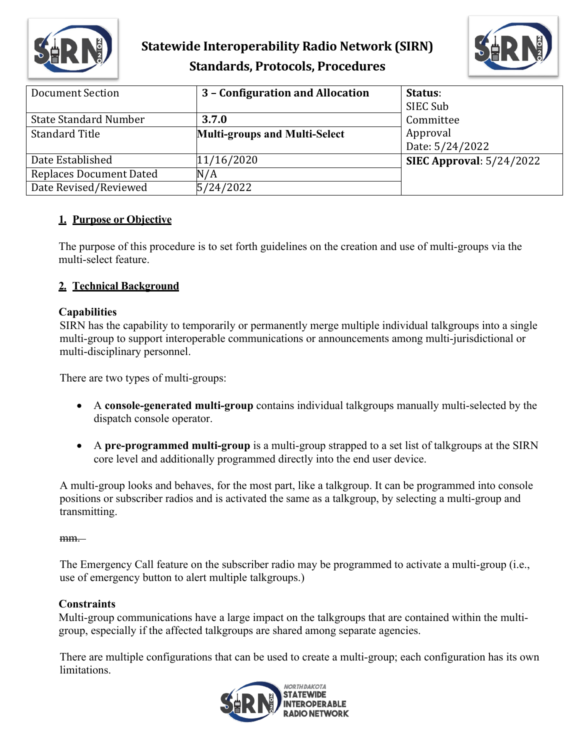

# **Statewide Interoperability Radio Network (SIRN) Standards, Protocols, Procedures**



| Document Section               | 3 - Configuration and Allocation     | Status:<br>SIEC Sub         |
|--------------------------------|--------------------------------------|-----------------------------|
| <b>State Standard Number</b>   | 3.7.0                                | Committee                   |
| <b>Standard Title</b>          | <b>Multi-groups and Multi-Select</b> | Approval<br>Date: 5/24/2022 |
| Date Established               | 11/16/2020                           | SIEC Approval: $5/24/2022$  |
| <b>Replaces Document Dated</b> | N/A                                  |                             |
| Date Revised/Reviewed          | 5/24/2022                            |                             |

## **1. Purpose or Objective**

The purpose of this procedure is to set forth guidelines on the creation and use of multi-groups via the multi-select feature.

## **2. Technical Background**

#### **Capabilities**

SIRN has the capability to temporarily or permanently merge multiple individual talkgroups into a single multi-group to support interoperable communications or announcements among multi-jurisdictional or multi-disciplinary personnel.

There are two types of multi-groups:

- A **console-generated multi-group** contains individual talkgroups manually multi-selected by the dispatch console operator.
- A **pre-programmed multi-group** is a multi-group strapped to a set list of talkgroups at the SIRN core level and additionally programmed directly into the end user device.

A multi-group looks and behaves, for the most part, like a talkgroup. It can be programmed into console positions or subscriber radios and is activated the same as a talkgroup, by selecting a multi-group and transmitting.

#### mm.

The Emergency Call feature on the subscriber radio may be programmed to activate a multi-group (i.e., use of emergency button to alert multiple talkgroups.)

#### **Constraints**

Multi-group communications have a large impact on the talkgroups that are contained within the multigroup, especially if the affected talkgroups are shared among separate agencies.

There are multiple configurations that can be used to create a multi-group; each configuration has its own limitations.

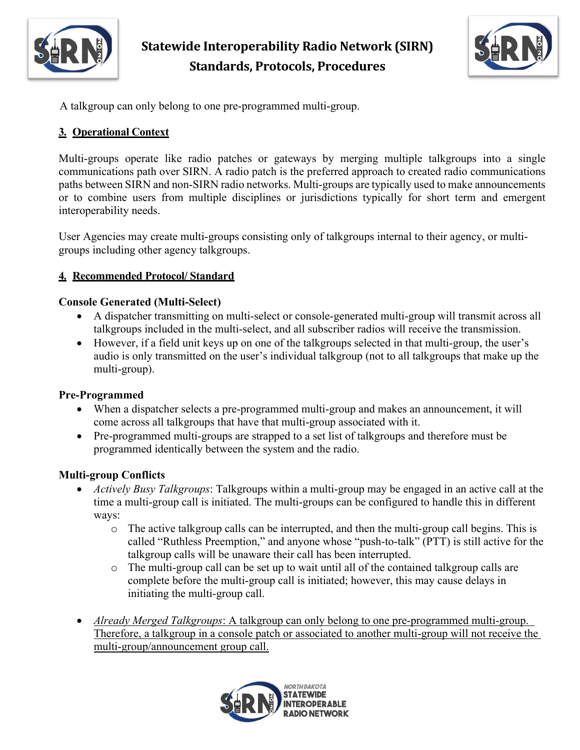

**Statewide Interoperability Radio Network (SIRN) Standards, Protocols, Procedures**



A talkgroup can only belong to one pre-programmed multi-group.

# **3. Operational Context**

Multi-groups operate like radio patches or gateways by merging multiple talkgroups into a single communications path over SIRN. A radio patch is the preferred approach to created radio communications paths between SIRN and non-SIRN radio networks. Multi-groups are typically used to make announcements or to combine users from multiple disciplines or jurisdictions typically for short term and emergent interoperability needs.

User Agencies may create multi-groups consisting only of talkgroups internal to their agency, or multigroups including other agency talkgroups.

# **4. Recommended Protocol/ Standard**

#### **Console Generated (Multi-Select)**

- A dispatcher transmitting on multi-select or console-generated multi-group will transmit across all talkgroups included in the multi-select, and all subscriber radios will receive the transmission.
- However, if a field unit keys up on one of the talkgroups selected in that multi-group, the user's audio is only transmitted on the user's individual talkgroup (not to all talkgroups that make up the multi-group).

## **Pre-Programmed**

- When a dispatcher selects a pre-programmed multi-group and makes an announcement, it will come across all talkgroups that have that multi-group associated with it.
- Pre-programmed multi-groups are strapped to a set list of talkgroups and therefore must be programmed identically between the system and the radio.

## **Multi-group Conflicts**

- *Actively Busy Talkgroups*: Talkgroups within a multi-group may be engaged in an active call at the time a multi-group call is initiated. The multi-groups can be configured to handle this in different ways:
	- o The active talkgroup calls can be interrupted, and then the multi-group call begins. This is called "Ruthless Preemption," and anyone whose "push-to-talk" (PTT) is still active for the talkgroup calls will be unaware their call has been interrupted.
	- o The multi-group call can be set up to wait until all of the contained talkgroup calls are complete before the multi-group call is initiated; however, this may cause delays in initiating the multi-group call.
- *Already Merged Talkgroups*: A talkgroup can only belong to one pre-programmed multi-group. Therefore, a talkgroup in a console patch or associated to another multi-group will not receive the multi-group/announcement group call.